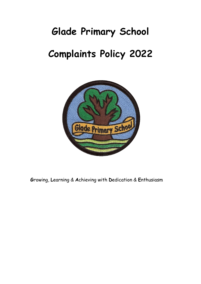# **Glade Primary School Complaints Policy 2022**



**G**rowing, **L**earning & **A**chieving with **D**edication & **E**nthusiasm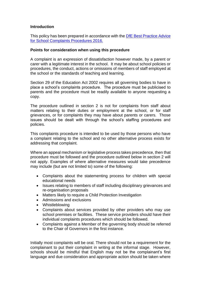## **Introduction**

This policy has been prepared in accordance with the [DfE Best Practice Advice](https://www.gov.uk/government/uploads/system/uploads/attachment_data/file/489056/Best_Practice_Advice_for_School_Complaints_2016.pdf)  [for School Complaints Procedures 2016.](https://www.gov.uk/government/uploads/system/uploads/attachment_data/file/489056/Best_Practice_Advice_for_School_Complaints_2016.pdf) 

#### **Points for consideration when using this procedure**

A complaint is an expression of dissatisfaction however made, by a parent or carer with a legitimate interest in the school. It may be about school policies or procedures, the conduct, actions or omissions of members of staff employed at the school or the standards of teaching and learning.

Section 29 of the Education Act 2002 requires all governing bodies to have in place a school's complaints procedure. The procedure must be publicised to parents and the procedure must be readily available to anyone requesting a copy.

The procedure outlined in section 2 is not for complaints from staff about matters relating to their duties or employment at the school, or for staff grievances, or for complaints they may have about parents or carers. Those issues should be dealt with through the school's staffing procedures and policies.

This complaints procedure is intended to be used by those persons who have a complaint relating to the school and no other alternative process exists for addressing that complaint.

Where an appeal mechanism or legislative process takes precedence, then that procedure must be followed and the procedure outlined below in section 2 will not apply. Examples of where alternative measures would take precedence may include (but are not limited to) some of the following:

- Complaints about the statementing process for children with special educational needs
- Issues relating to members of staff including disciplinary grievances and re-organisation proposals
- Matters likely to require a Child Protection Investigation
- Admissions and exclusions
- Whistleblowing
- Complaints about services provided by other providers who may use school premises or facilities. These service providers should have their individual complaints procedures which should be followed.
- Complaints against a Member of the governing body should be referred to the Chair of Governors in the first instance.

Initially most complaints will be oral. There should not be a requirement for the complainant to put their complaint in writing at the informal stage. However, schools should be mindful that English may not be the complainant's first language and due consideration and appropriate action should be taken where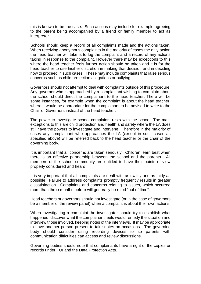this is known to be the case. Such actions may include for example agreeing to the parent being accompanied by a friend or family member to act as interpreter.

Schools should keep a record of all complaints made and the actions taken. When receiving anonymous complaints in the majority of cases the only action the head teacher will take is to log the complaint and a record of any actions taking in response to the complaint. However there may be exceptions to this where the head teacher feels further action should be taken and it is for the head teacher to use his/her discretion in making that decision and in deciding how to proceed in such cases. These may include complaints that raise serious concerns such as child protection allegations or bullying.

Governors should not attempt to deal with complaints outside of this procedure. Any governor who is approached by a complainant wishing to complain about the school should direct the complainant to the head teacher. There will be some instances, for example when the complaint is about the head teacher, where it would be appropriate for the complainant to be advised to write to the Chair of Governors instead of the head teacher.

The power to investigate school complaints rests with the school. The main exceptions to this are child protection and health and safety where the LA does still have the powers to investigate and intervene. Therefore in the majority of cases any complainant who approaches the LA (except in such cases as specified above) will be referred back to the head teacher or the chair of the governing body.

It is important that all concerns are taken seriously. Children learn best when there is an effective partnership between the school and the parents. All members of the school community are entitled to have their points of view properly considered and heard.

It is very important that all complaints are dealt with as swiftly and as fairly as possible. Failure to address complaints promptly frequently results in greater dissatisfaction. Complaints and concerns relating to issues, which occurred more than three months before will generally be ruled "out of time".

Head teachers or governors should not investigate (or in the case of governors be a member of the review panel) when a complaint is about their own actions.

When investigating a complaint the investigator should try to establish what happened, discover what the complainant feels would remedy the situation and interview those involved, keeping notes of the interviews. It may be appropriate to have another person present to take notes on occasions. The governing body should consider using recording devices to so parents with communication difficulties can access and review discussions.

Governing bodies should note that complainants have a right of the copies or records under FOI and the Data Protection Acts.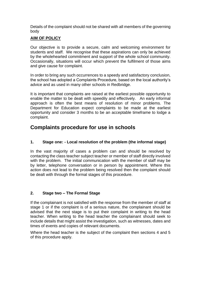Details of the complaint should not be shared with all members of the governing body

## **AIM OF POLICY**

Our objective is to provide a secure, calm and welcoming environment for students and staff. We recognise that these aspirations can only be achieved by the wholehearted commitment and support of the whole school community. Occasionally, situations will occur which prevent the fulfilment of those aims and give cause for complaint.

In order to bring any such occurrences to a speedy and satisfactory conclusion, the school has adopted a Complaints Procedure, based on the local authority's advice and as used in many other schools in Redbridge.

It is important that complaints are raised at the earliest possible opportunity to enable the matter to be dealt with speedily and effectively. An early informal approach is often the best means of resolution of minor problems. The Department for Education expect complaints to be made at the earliest opportunity and consider 3 months to be an acceptable timeframe to lodge a complaint.

# **Complaints procedure for use in schools**

## **1. Stage one: - Local resolution of the problem (the informal stage)**

In the vast majority of cases a problem can and should be resolved by contacting the class teacher subject teacher or member of staff directly involved with the problem. The initial communication with the member of staff may be by letter, telephone conversation or in person by appointment. Where this action does not lead to the problem being resolved then the complaint should be dealt with through the formal stages of this procedure.

## **2. Stage two – The Formal Stage**

If the complainant is not satisfied with the response from the member of staff at stage 1 or if the complaint is of a serious nature, the complainant should be advised that the next stage is to put their complaint in writing to the head teacher. When writing to the head teacher the complainant should seek to include details that might assist the investigation, such as witnesses, dates and times of events and copies of relevant documents.

Where the head teacher is the subject of the complaint then sections 4 and 5 of this procedure apply.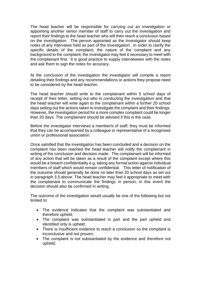The head teacher will be responsible for carrying out an investigation or appointing another senior member of staff to carry out the investigation and report their findings to the head teacher who will then reach a conclusion based on the investigation. The person appointed as the Investigator should keep notes of any interviews held as part of the investigation. In order to clarify the specific details of the complaint, the nature of the complaint and any background to the complaint, the investigator may feel it necessary to meet with the complainant first. It is good practice to supply interviewees with the notes and ask them to sign the notes for accuracy.

At the conclusion of the investigation the investigator will compile a report detailing their findings and any recommendations or actions they propose need to be considered by the head teacher.

The head teacher should write to the complainant within 5 school days of receipt of their letter, setting out who is conducting the investigation and that the head teacher will write again to the complainant within a further 20 school days setting out the actions taken to investigate the complaint and their findings. However, the investigation period for a more complex complaint could be longer than 20 days. The complainant should be advised if this is the case.

Before the investigator interviews a member/s of staff, they must be informed that they can be accompanied by a colleague or representative of a recognised union or professional association.

Once satisfied that the investigation has been concluded and a decision on the complaint has been reached the head teacher will notify the complainant in writing of the conclusion and decision made. The complainant will be informed of any action that will be taken as a result of the complaint except where this would be a breach confidentiality e.g. taking any formal action against individual members of staff which would remain confidential. This letter of notification of the outcome should generally be done no later than 20 school days as set out in paragraph 3.5 above. The head teacher may feel it appropriate to meet with the complainant to communicate the findings in person; in this event the decision should also be confirmed in writing.

The outcome of the investigation would usually be one of the following but not limited to:

- The evidence indicates that the complaint was substantiated and therefore upheld;
- The complaint was substantiated in part and the part upheld and identified only is upheld;
- There is insufficient evidence to reach a conclusion so the complaint is inconclusive and not proven;
- The complaint is not substantiated by the evidence and therefore not upheld;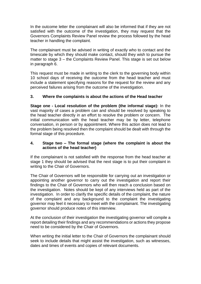In the outcome letter the complainant will also be informed that if they are not satisfied with the outcome of the investigation, they may request that the Governors Complaints Review Panel review the process followed by the head teacher in handling the complaint.

The complainant must be advised in writing of exactly who to contact and the timescale by which they should make contact, should they wish to pursue the matter to stage 3 – the Complaints Review Panel. This stage is set out below in paragraph 6.

This request must be made in writing to the clerk to the governing body within 10 school days of receiving the outcome from the head teacher and must include a statement specifying reasons for the request for the review and any perceived failures arising from the outcome of the investigation.

## **3. Where the complaints is about the actions of the Head teacher**

**Stage one - Local resolution of the problem (the informal stage):** In the vast majority of cases a problem can and should be resolved by speaking to the head teacher directly in an effort to resolve the problem or concern. The initial communication with the head teacher may be by letter, telephone conversation, in person or by appointment. Where this action does not lead to the problem being resolved then the complaint should be dealt with through the formal stage of this procedure.

## **4. Stage two – The formal stage (where the complaint is about the actions of the head teacher)**

If the complainant is not satisfied with the response from the head teacher at stage 1 they should be advised that the next stage is to put their complaint in writing to the Chair of Governors.

The Chair of Governors will be responsible for carrying out an investigation or appointing another governor to carry out the investigation and report their findings to the Chair of Governors who will then reach a conclusion based on the investigation. Notes should be kept of any interviews held as part of the investigation. In order to clarify the specific details of the complaint, the nature of the complaint and any background to the complaint the investigating governor may feel it necessary to meet with the complainant. The investigating governor should produce notes of this interview.

At the conclusion of their investigation the investigating governor will compile a report detailing their findings and any recommendations or actions they propose need to be considered by the Chair of Governors.

When writing the initial letter to the Chair of Governors the complainant should seek to include details that might assist the investigation, such as witnesses, dates and times of events and copies of relevant documents.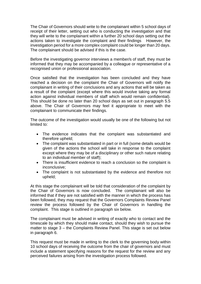The Chair of Governors should write to the complainant within 5 school days of receipt of their letter, setting out who is conducting the investigation and that they will write to the complainant within a further 20 school days setting out the actions taken to investigate the complaint and their findings However, the investigation period for a more complex complaint could be longer than 20 days. The complainant should be advised if this is the case.

Before the investigating governor interviews a member/s of staff, they must be informed that they may be accompanied by a colleague or representative of a recognised union or professional association.

Once satisfied that the investigation has been concluded and they have reached a decision on the complaint the Chair of Governors will notify the complainant in writing of their conclusions and any actions that will be taken as a result of the complaint (except where this would involve taking any formal action against individual members of staff which would remain confidential). This should be done no later than 20 school days as set out in paragraph 5.5 above. The Chair of Governors may feel it appropriate to meet with the complainant to communicate their findings.

The outcome of the investigation would usually be one of the following but not limited to:

- The evidence indicates that the complaint was substantiated and therefore upheld;
- The complaint was substantiated in part or in full (some details would be given of the actions the school will take in response to the complaint except where they may be of a disciplinary or other such nature relating to an individual member of staff);
- There is insufficient evidence to reach a conclusion so the complaint is inconclusive;
- The complaint is not substantiated by the evidence and therefore not upheld;

At this stage the complainant will be told that consideration of the complaint by the Chair of Governors is now concluded. The complainant will also be informed that if they are not satisfied with the manner in which the process has been followed, they may request that the Governors Complaints Review Panel review the process followed by the Chair of Governors in handling the complaint. This stage is outlined in paragraph six below.

The complainant must be advised in writing of exactly who to contact and the timescale by which they should make contact, should they wish to pursue the matter to stage 3 – the Complaints Review Panel. This stage is set out below in paragraph 6.

This request must be made in writing to the clerk to the governing body within 10 school days of receiving the outcome from the chair of governors and must include a statement specifying reasons for the request for the review and any perceived failures arising from the investigation process followed.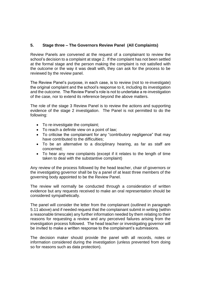## **5. Stage three – The Governors Review Panel (All Complaints)**

Review Panels are convened at the request of a complainant to review the school's decision to a complaint at stage 2. If the complaint has not been settled at the formal stage and the person making the complaint is not satisfied with the outcome or the way it was dealt with, they can ask for the process to be reviewed by the review panel.

The Review Panel's purpose, in each case, is to review (not to re-investigate) the original complaint and the school's response to it, including its investigation and the outcome. The Review Panel's role is not to undertake a re-investigation of the case, nor to extend its reference beyond the above matters.

The role of the stage 3 Review Panel is to review the actions and supporting evidence of the stage 2 investigation. The Panel is not permitted to do the following:

- To re-investigate the complaint;
- To reach a definite view on a point of law;
- To criticise the complainant for any "contributory negligence" that may have contributed to the difficulties;
- To be an alternative to a disciplinary hearing, as far as staff are concerned;
- To hear any new complaints (except if it relates to the length of time taken to deal with the substantive complaint)

Any review of the process followed by the head teacher, chair of governors or the investigating governor shall be by a panel of at least three members of the governing body appointed to be the Review Panel.

The review will normally be conducted through a consideration of written evidence but any requests received to make an oral representation should be considered sympathetically.

The panel will consider the letter from the complainant (outlined in paragraph 5.11 above) and if needed request that the complainant submit in writing (within a reasonable timescale) any further information needed by them relating to their reasons for requesting a review and any perceived failures arising from the investigation process followed. The head teacher or investigating governor will be invited to make a written response to the complainant's submissions.

The decision maker should provide the panel with all records, notes or information considered during the investigation (unless prevented from doing so for reasons such as data protection).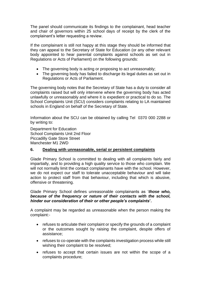The panel should communicate its findings to the complainant, head teacher and chair of governors within 25 school days of receipt by the clerk of the complainant's letter requesting a review.

If the complainant is still not happy at this stage they should be informed that they can appeal to the Secretary of State for Education (or any other relevant body appointed to hear parental complaints against schools as set out in Regulations or Acts of Parliament) on the following grounds:

- The governing body is acting or proposing to act unreasonably;
- The governing body has failed to discharge its legal duties as set out in Regulations or Acts of Parliament.

The governing body notes that the Secretary of State has a duty to consider all complaints raised but will only intervene where the governing body has acted unlawfully or unreasonably and where it is expedient or practical to do so. The School Complaints Unit (SCU) considers complaints relating to LA maintained schools in England on behalf of the Secretary of State.

Information about the SCU can be obtained by calling Tel 0370 000 2288 or by writing to:

Department for Education School Complaints Unit 2nd Floor Piccadilly Gate Store Street Manchester M1 2WD

## **6. Dealing with unreasonable, serial or persistent complaints**

Glade Primary School is committed to dealing with all complaints fairly and impartially, and to providing a high quality service to those who complain. We will not normally limit the contact complainants have with the school. However, we do not expect our staff to tolerate unacceptable behaviour and will take action to protect staff from that behaviour, including that which is abusive, offensive or threatening.

Glade Primary School defines unreasonable complainants as '*those who, because of the frequency or nature of their contacts with the school, hinder our consideration of their or other people's complaints***'.**

A complaint may be regarded as unreasonable when the person making the complaint:-

- refuses to articulate their complaint or specify the grounds of a complaint or the outcomes sought by raising the complaint, despite offers of assistance;
- refuses to co-operate with the complaints investigation process while still wishing their complaint to be resolved;
- refuses to accept that certain issues are not within the scope of a complaints procedure;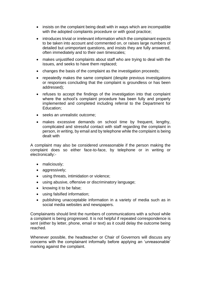- insists on the complaint being dealt with in ways which are incompatible with the adopted complaints procedure or with good practice;
- introduces trivial or irrelevant information which the complainant expects to be taken into account and commented on, or raises large numbers of detailed but unimportant questions, and insists they are fully answered, often immediately and to their own timescales;
- makes uniustified complaints about staff who are trying to deal with the issues, and seeks to have them replaced;
- changes the basis of the complaint as the investigation proceeds;
- repeatedly makes the same complaint (despite previous investigations or responses concluding that the complaint is groundless or has been addressed);
- refuses to accept the findings of the investigation into that complaint where the school's complaint procedure has been fully and properly implemented and completed including referral to the Department for Education;
- seeks an unrealistic outcome;
- makes excessive demands on school time by frequent, lengthy, complicated and stressful contact with staff regarding the complaint in person, in writing, by email and by telephone while the complaint is being dealt with

A complaint may also be considered unreasonable if the person making the complaint does so either face-to-face, by telephone or in writing or electronically:-

- maliciously;
- aggressively;
- using threats, intimidation or violence;
- using abusive, offensive or discriminatory language;
- knowing it to be false;
- using falsified information;
- publishing unacceptable information in a variety of media such as in social media websites and newspapers.

Complainants should limit the numbers of communications with a school while a complaint is being progressed. It is not helpful if repeated correspondence is sent (either by letter, phone, email or text) as it could delay the outcome being reached.

Whenever possible, the headteacher or Chair of Governors will discuss any concerns with the complainant informally before applying an 'unreasonable' marking against the complaint.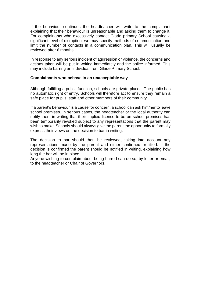If the behaviour continues the headteacher will write to the complainant explaining that their behaviour is unreasonable and asking them to change it. For complainants who excessively contact Glade primary School causing a significant level of disruption, we may specify methods of communication and limit the number of contacts in a communication plan. This will usually be reviewed after 6 months.

In response to any serious incident of aggression or violence, the concerns and actions taken will be put in writing immediately and the police informed. This may include barring an individual from Glade Primary School.

#### **Complainants who behave in an unacceptable way**

Although fulfilling a public function, schools are private places. The public has no automatic right of entry. Schools will therefore act to ensure they remain a safe place for pupils, staff and other members of their community.

If a parent's behaviour is a cause for concern, a school can ask him/her to leave school premises. In serious cases, the headteacher or the local authority can notify them in writing that their implied licence to be on school premises has been temporarily revoked subject to any representations that the parent may wish to make. Schools should always give the parent the opportunity to formally express their views on the decision to bar in writing.

The decision to bar should then be reviewed, taking into account any representations made by the parent and either confirmed or lifted. If the decision is confirmed the parent should be notified in writing, explaining how long the bar will be in place.

Anyone wishing to complain about being barred can do so, by letter or email, to the headteacher or Chair of Governors.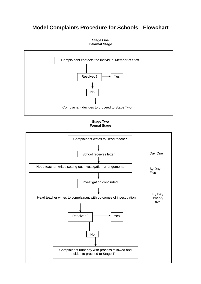# **Model Complaints Procedure for Schools - Flowchart**





**Stage Two Formal Stage**

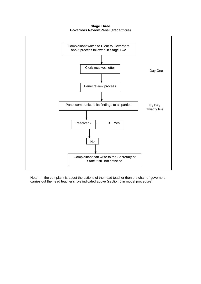**Stage Three Governors Review Panel (stage three)**



Note: - If the complaint is about the actions of the head teacher then the chair of governors carries out the head teacher's role indicated above (section 5 in model procedure).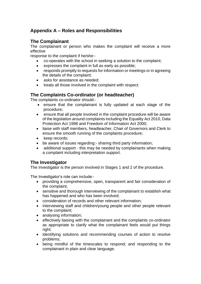# **Appendix A – Roles and Responsibilities**

## **The Complainant**

The complainant or person who makes the complaint will receive a more effective

response to the complaint if he/she:-

- co-operates with the school in seeking a solution to the complaint;
- expresses the complaint in full as early as possible;
- responds promptly to requests for information or meetings or in agreeing the details of the complaint;
- asks for assistance as needed:
- treats all those involved in the complaint with respect.

## **The Complaints Co-ordinator (or headteacher)**

The complaints co-ordinator should:-

- ensure that the complainant is fully updated at each stage of the procedure;
- ensure that all people involved in the complaint procedure will be aware of the legislation around complaints including the Equality Act 2010, Data Protection Act 1998 and Freedom of Information Act 2000;
- liaise with staff members, headteacher, Chair of Governors and Clerk to ensure the smooth running of the complaints procedure;
- keep records;
- be aware of issues regarding:- sharing third party information;
- additional support this may be needed by complainants when making a complaint including interpretation support.

# **The Investigator**

The Investigator is the person involved in Stages 1 and 2 of the procedure.

The Investigator's role can include:-

- providing a comprehensive, open, transparent and fair consideration of the complaint;
- sensitive and thorough interviewing of the complainant to establish what has happened and who has been involved;
- consideration of records and other relevant information;
- interviewing staff and children/young people and other people relevant to the complaint;
- analysing information;
- effectively liaising with the complainant and the complaints co-ordinator as appropriate to clarify what the complainant feels would put things right:
- identifying solutions and recommending courses of action to resolve problems;
- being mindful of the timescales to respond; and responding to the complainant in plain and clear language.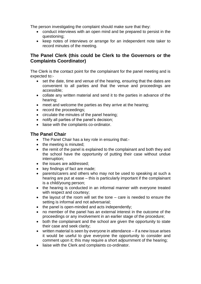The person investigating the complaint should make sure that they:

- conduct interviews with an open mind and be prepared to persist in the questioning;
- keep notes of interviews or arrange for an independent note taker to record minutes of the meeting.

# **The Panel Clerk (this could be Clerk to the Governors or the Complaints Coordinator)**

The Clerk is the contact point for the complainant for the panel meeting and is expected to:-

- set the date, time and venue of the hearing, ensuring that the dates are convenient to all parties and that the venue and proceedings are accessible;
- collate any written material and send it to the parties in advance of the hearing;
- meet and welcome the parties as they arrive at the hearing;
- record the proceedings;
- circulate the minutes of the panel hearing;
- notify all parties of the panel's decision;
- liaise with the complaints co-ordinator.

## **The Panel Chair**

- The Panel Chair has a key role in ensuring that:-
- the meeting is minuted;
- the remit of the panel is explained to the complainant and both they and the school have the opportunity of putting their case without undue interruption;
- the issues are addressed;
- key findings of fact are made;
- parents/carers and others who may not be used to speaking at such a hearing are put at ease – this is particularly important if the complainant is a child/young person;
- the hearing is conducted in an informal manner with everyone treated with respect and courtesy;
- the layout of the room will set the tone care is needed to ensure the setting is informal and not adversarial;
- the panel is open-minded and acts independently;
- no member of the panel has an external interest in the outcome of the proceedings or any involvement in an earlier stage of the procedure;
- both the complainant and the school are given the opportunity to state their case and seek clarity;
- written material is seen by everyone in attendance if a new issue arises it would be useful to give everyone the opportunity to consider and comment upon it; this may require a short adjournment of the hearing;
- liaise with the Clerk and complaints co-ordinator.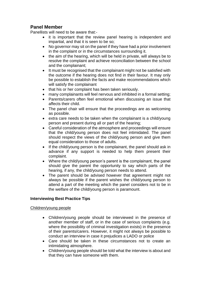# **Panel Member**

Panellists will need to be aware that:-

- it is important that the review panel hearing is independent and impartial, and that it is seen to be so;
- No governor may sit on the panel if they have had a prior involvement in the complaint or in the circumstances surrounding it.
- the aim of the hearing, which will be held in private, will always be to resolve the complaint and achieve reconciliation between the school and the complainant;
- It must be recognised that the complainant might not be satisfied with the outcome if the hearing does not find in their favour. It may only be possible to establish the facts and make recommendations which will satisfy the complainant
- that his or her complaint has been taken seriously.
- many complainants will feel nervous and inhibited in a formal setting:
- Parents/carers often feel emotional when discussing an issue that affects their child.
- The panel chair will ensure that the proceedings are as welcoming as possible.
- extra care needs to be taken when the complainant is a child/young person and present during all or part of the hearing;
- Careful consideration of the atmosphere and proceedings will ensure that the child/young person does not feel intimidated. The panel should respect the views of the child/young person and give them equal consideration to those of adults.
- If the child/young person is the complainant, the panel should ask in advance if any support is needed to help them present their complaint.
- Where the child/young person's parent is the complainant, the panel should give the parent the opportunity to say which parts of the hearing, if any, the child/young person needs to attend.
- The parent should be advised however that agreement might not always be possible if the parent wishes the child/young person to attend a part of the meeting which the panel considers not to be in the welfare of the child/young person is paramount.

## **Interviewing Best Practice Tips**

## Children/young people

- Children/young people should be interviewed in the presence of another member of staff, or in the case of serious complaints (e.g. where the possibility of criminal investigation exists) in the presence of their parents/carers. However, it might not always be possible to conduct an interview in case it prejudices a LADO or police
- Care should be taken in these circumstances not to create an intimidating atmosphere.
- Children/young people should be told what the interview is about and that they can have someone with them.